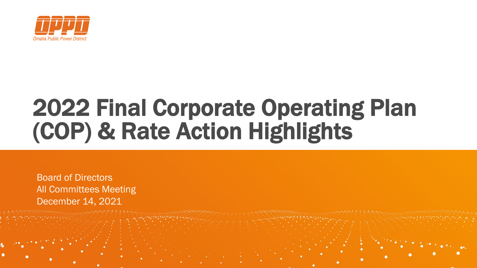

# 2022 Final Corporate Operating Plan (COP) & Rate Action Highlights

Board of Directors All Committees Meeting December 14, 2021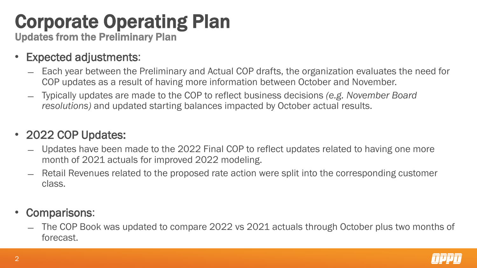### Corporate Operating Plan

Updates from the Preliminary Plan

- Expected adjustments:
	- ̶ Each year between the Preliminary and Actual COP drafts, the organization evaluates the need for COP updates as a result of having more information between October and November.
	- ̶ Typically updates are made to the COP to reflect business decisions *(e.g. November Board resolutions)* and updated starting balances impacted by October actual results.

### • 2022 COP Updates:

- ̶ Updates have been made to the 2022 Final COP to reflect updates related to having one more month of 2021 actuals for improved 2022 modeling.
- ̶ Retail Revenues related to the proposed rate action were split into the corresponding customer class.
- Comparisons:
	- ̶ The COP Book was updated to compare 2022 vs 2021 actuals through October plus two months of forecast.

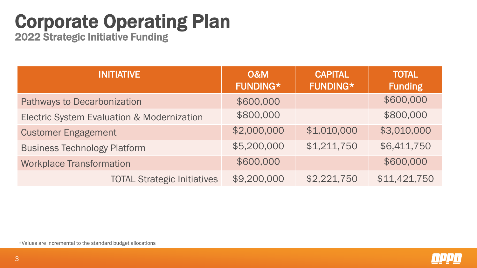### Corporate Operating Plan

2022 Strategic Initiative Funding

| <b>INITIATIVE</b>                          | <b>O&amp;M</b><br><b>FUNDING*</b> | <b>CAPITAL</b><br><b>FUNDING*</b> | <b>TOTAL</b><br><b>Funding</b> |  |
|--------------------------------------------|-----------------------------------|-----------------------------------|--------------------------------|--|
| Pathways to Decarbonization                | \$600,000                         |                                   | \$600,000                      |  |
| Electric System Evaluation & Modernization | \$800,000                         |                                   | \$800,000                      |  |
| <b>Customer Engagement</b>                 | \$2,000,000                       | \$1,010,000                       | \$3,010,000                    |  |
| <b>Business Technology Platform</b>        | \$5,200,000                       | \$1,211,750                       | \$6,411,750                    |  |
| <b>Workplace Transformation</b>            | \$600,000                         |                                   | \$600,000                      |  |
| <b>TOTAL Strategic Initiatives</b>         | \$9,200,000                       | \$2,221,750                       | \$11,421,750                   |  |

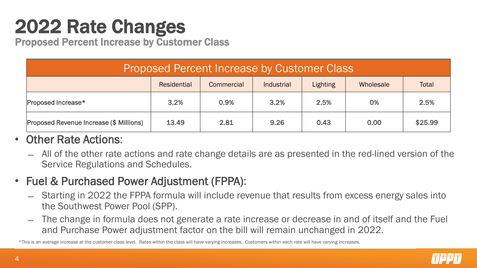### 2022 Rate Changes

Proposed Percent Increase by Customer Class

| <b>Proposed Percent Increase by Customer Class</b> |             |            |            |                 |           |              |  |  |
|----------------------------------------------------|-------------|------------|------------|-----------------|-----------|--------------|--|--|
|                                                    | Residential | Commercial | Industrial | <b>Lighting</b> | Wholesale | <b>Total</b> |  |  |
| Proposed Increase*                                 | 3.2%        | 0.9%       | 3.2%       | 2.5%            | 0%        | 2.5%         |  |  |
| Proposed Revenue Increase (\$ Millions)            | 13.49       | 2.81       | 9.26       | 0.43            | 0.00      | \$25.99      |  |  |

### • Other Rate Actions:

- ̶ All of the other rate actions and rate change details are as presented in the red-lined version of the Service Regulations and Schedules.
- Fuel & Purchased Power Adjustment (FPPA):
	- ̶ Starting in 2022 the FPPA formula will include revenue that results from excess energy sales into the Southwest Power Pool (SPP).
	- ̶ The change in formula does not generate a rate increase or decrease in and of itself and the Fuel and Purchase Power adjustment factor on the bill will remain unchanged in 2022.

\*This is an average increase at the customer class level. Rates within the class will have varying increases. Customers within each rate will have varying increases.

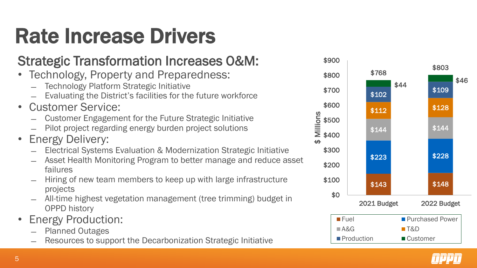# Rate Increase Drivers

### Strategic Transformation Increases O&M:

- Technology, Property and Preparedness:
	- ̶ Technology Platform Strategic Initiative
	- Evaluating the District's facilities for the future workforce
- Customer Service:
	- ̶ Customer Engagement for the Future Strategic Initiative
	- ̶ Pilot project regarding energy burden project solutions
- **Energy Delivery:** 
	- ̶ Electrical Systems Evaluation & Modernization Strategic Initiative
	- Asset Health Monitoring Program to better manage and reduce asset failures
	- ̶ Hiring of new team members to keep up with large infrastructure projects
	- ̶ All-time highest vegetation management (tree trimming) budget in OPPD history
- Energy Production:
	- ̶ Planned Outages
	- Resources to support the Decarbonization Strategic Initiative



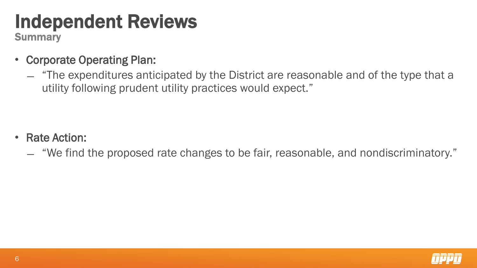### Independent Reviews

**Summary** 

- Corporate Operating Plan:
	- ̶ "The expenditures anticipated by the District are reasonable and of the type that a utility following prudent utility practices would expect."

- Rate Action:
	- ̶ "We find the proposed rate changes to be fair, reasonable, and nondiscriminatory."

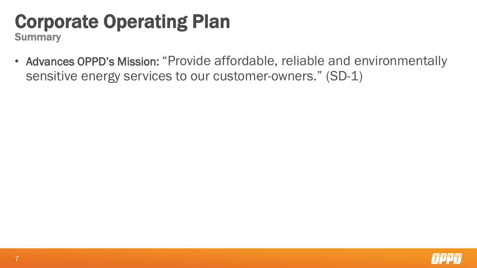### Corporate Operating Plan

**Summary** 

• Advances OPPD's Mission: "Provide affordable, reliable and environmentally sensitive energy services to our customer-owners." (SD-1)

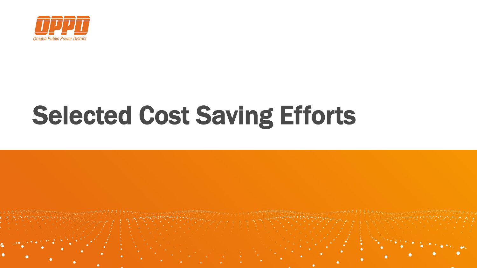

# Selected Cost Saving Efforts

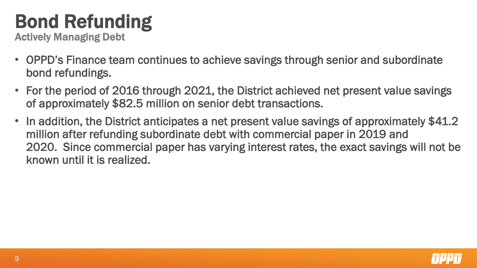### Bond Refunding

Actively Managing Debt

- OPPD's Finance team continues to achieve savings through senior and subordinate bond refundings.
- For the period of 2016 through 2021, the District achieved net present value savings of approximately \$82.5 million on senior debt transactions.
- In addition, the District anticipates a net present value savings of approximately \$41.2 million after refunding subordinate debt with commercial paper in 2019 and 2020. Since commercial paper has varying interest rates, the exact savings will not be known until it is realized.